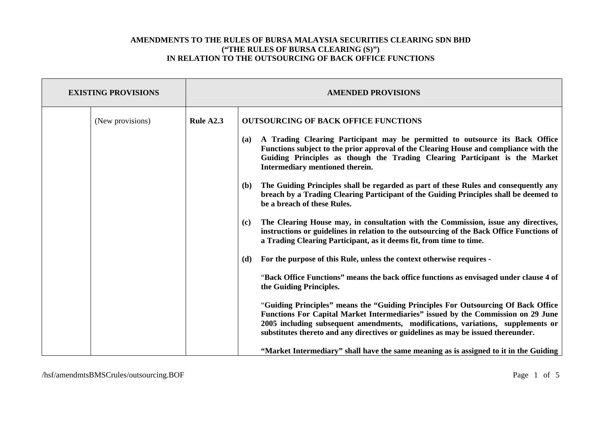| <b>EXISTING PROVISIONS</b> | <b>AMENDED PROVISIONS</b> |                                                                                                                                                                                                                                                                                                                                               |
|----------------------------|---------------------------|-----------------------------------------------------------------------------------------------------------------------------------------------------------------------------------------------------------------------------------------------------------------------------------------------------------------------------------------------|
| (New provisions)           | Rule A2.3                 | <b>OUTSOURCING OF BACK OFFICE FUNCTIONS</b>                                                                                                                                                                                                                                                                                                   |
|                            |                           | A Trading Clearing Participant may be permitted to outsource its Back Office<br>(a)<br>Functions subject to the prior approval of the Clearing House and compliance with the<br>Guiding Principles as though the Trading Clearing Participant is the Market<br>Intermediary mentioned therein.                                                |
|                            |                           | The Guiding Principles shall be regarded as part of these Rules and consequently any<br>(b)<br>breach by a Trading Clearing Participant of the Guiding Principles shall be deemed to<br>be a breach of these Rules.                                                                                                                           |
|                            |                           | The Clearing House may, in consultation with the Commission, issue any directives,<br>(c)<br>instructions or guidelines in relation to the outsourcing of the Back Office Functions of<br>a Trading Clearing Participant, as it deems fit, from time to time.                                                                                 |
|                            |                           | For the purpose of this Rule, unless the context otherwise requires -<br>(d)                                                                                                                                                                                                                                                                  |
|                            |                           | "Back Office Functions" means the back office functions as envisaged under clause 4 of<br>the Guiding Principles.                                                                                                                                                                                                                             |
|                            |                           | "Guiding Principles" means the "Guiding Principles For Outsourcing Of Back Office<br>Functions For Capital Market Intermediaries" issued by the Commission on 29 June<br>2005 including subsequent amendments, modifications, variations, supplements or<br>substitutes thereto and any directives or guidelines as may be issued thereunder. |
|                            |                           | "Market Intermediary" shall have the same meaning as is assigned to it in the Guiding                                                                                                                                                                                                                                                         |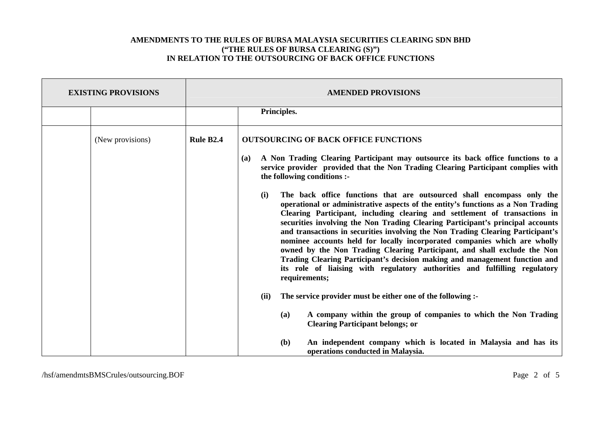| <b>EXISTING PROVISIONS</b> | <b>AMENDED PROVISIONS</b> |                                                                                                                                                                                                                                                                                                                                                                                                                                                                                                                                                                                                                                                                                                                                                            |
|----------------------------|---------------------------|------------------------------------------------------------------------------------------------------------------------------------------------------------------------------------------------------------------------------------------------------------------------------------------------------------------------------------------------------------------------------------------------------------------------------------------------------------------------------------------------------------------------------------------------------------------------------------------------------------------------------------------------------------------------------------------------------------------------------------------------------------|
|                            |                           | Principles.                                                                                                                                                                                                                                                                                                                                                                                                                                                                                                                                                                                                                                                                                                                                                |
| (New provisions)           | Rule B <sub>2.4</sub>     | <b>OUTSOURCING OF BACK OFFICE FUNCTIONS</b>                                                                                                                                                                                                                                                                                                                                                                                                                                                                                                                                                                                                                                                                                                                |
|                            |                           | A Non Trading Clearing Participant may outsource its back office functions to a<br>(a)<br>service provider provided that the Non Trading Clearing Participant complies with<br>the following conditions :-                                                                                                                                                                                                                                                                                                                                                                                                                                                                                                                                                 |
|                            |                           | (i)<br>The back office functions that are outsourced shall encompass only the<br>operational or administrative aspects of the entity's functions as a Non Trading<br>Clearing Participant, including clearing and settlement of transactions in<br>securities involving the Non Trading Clearing Participant's principal accounts<br>and transactions in securities involving the Non Trading Clearing Participant's<br>nominee accounts held for locally incorporated companies which are wholly<br>owned by the Non Trading Clearing Participant, and shall exclude the Non<br>Trading Clearing Participant's decision making and management function and<br>its role of liaising with regulatory authorities and fulfilling regulatory<br>requirements; |
|                            |                           | The service provider must be either one of the following :-<br>(ii)<br>A company within the group of companies to which the Non Trading<br>(a)                                                                                                                                                                                                                                                                                                                                                                                                                                                                                                                                                                                                             |
|                            |                           | <b>Clearing Participant belongs; or</b>                                                                                                                                                                                                                                                                                                                                                                                                                                                                                                                                                                                                                                                                                                                    |
|                            |                           | An independent company which is located in Malaysia and has its<br><b>(b)</b><br>operations conducted in Malaysia.                                                                                                                                                                                                                                                                                                                                                                                                                                                                                                                                                                                                                                         |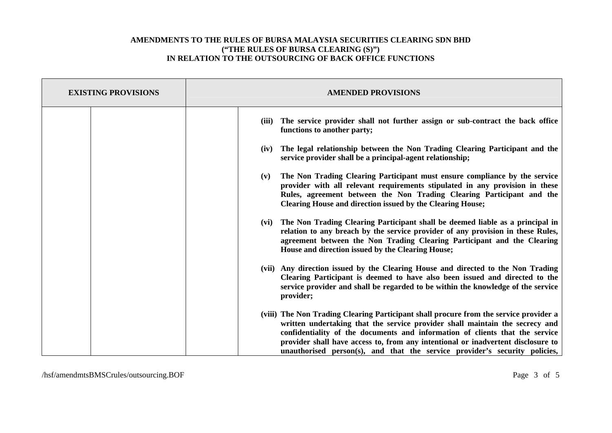| <b>EXISTING PROVISIONS</b> | <b>AMENDED PROVISIONS</b>                                                                                                                                                                                                                                                                                                                                                                                               |
|----------------------------|-------------------------------------------------------------------------------------------------------------------------------------------------------------------------------------------------------------------------------------------------------------------------------------------------------------------------------------------------------------------------------------------------------------------------|
|                            | The service provider shall not further assign or sub-contract the back office<br>(iii)<br>functions to another party;                                                                                                                                                                                                                                                                                                   |
|                            | The legal relationship between the Non Trading Clearing Participant and the<br>(iv)<br>service provider shall be a principal-agent relationship;                                                                                                                                                                                                                                                                        |
|                            | The Non Trading Clearing Participant must ensure compliance by the service<br>(v)<br>provider with all relevant requirements stipulated in any provision in these<br>Rules, agreement between the Non Trading Clearing Participant and the<br>Clearing House and direction issued by the Clearing House;                                                                                                                |
|                            | The Non Trading Clearing Participant shall be deemed liable as a principal in<br>(vi)<br>relation to any breach by the service provider of any provision in these Rules,<br>agreement between the Non Trading Clearing Participant and the Clearing<br>House and direction issued by the Clearing House;                                                                                                                |
|                            | (vii) Any direction issued by the Clearing House and directed to the Non Trading<br>Clearing Participant is deemed to have also been issued and directed to the<br>service provider and shall be regarded to be within the knowledge of the service<br>provider;                                                                                                                                                        |
|                            | (viii) The Non Trading Clearing Participant shall procure from the service provider a<br>written undertaking that the service provider shall maintain the secrecy and<br>confidentiality of the documents and information of clients that the service<br>provider shall have access to, from any intentional or inadvertent disclosure to<br>unauthorised person(s), and that the service provider's security policies, |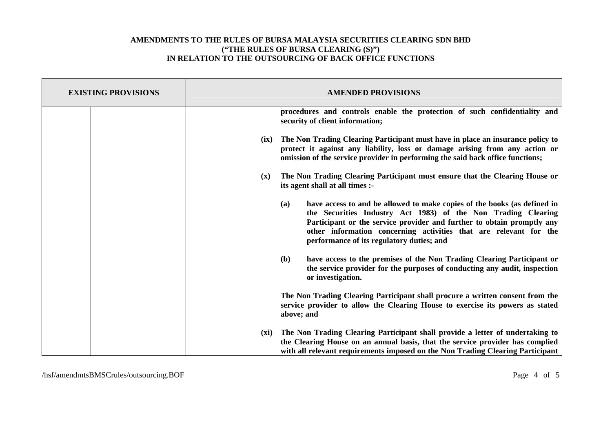| <b>EXISTING PROVISIONS</b> | <b>AMENDED PROVISIONS</b>                                                                                                                                                                                                                                                                                                                    |
|----------------------------|----------------------------------------------------------------------------------------------------------------------------------------------------------------------------------------------------------------------------------------------------------------------------------------------------------------------------------------------|
|                            | procedures and controls enable the protection of such confidentiality and<br>security of client information;                                                                                                                                                                                                                                 |
|                            | The Non Trading Clearing Participant must have in place an insurance policy to<br>(ix)<br>protect it against any liability, loss or damage arising from any action or<br>omission of the service provider in performing the said back office functions;                                                                                      |
|                            | The Non Trading Clearing Participant must ensure that the Clearing House or<br>(x)<br>its agent shall at all times :-                                                                                                                                                                                                                        |
|                            | have access to and be allowed to make copies of the books (as defined in<br>(a)<br>the Securities Industry Act 1983) of the Non Trading Clearing<br>Participant or the service provider and further to obtain promptly any<br>other information concerning activities that are relevant for the<br>performance of its regulatory duties; and |
|                            | have access to the premises of the Non Trading Clearing Participant or<br><b>(b)</b><br>the service provider for the purposes of conducting any audit, inspection<br>or investigation.                                                                                                                                                       |
|                            | The Non Trading Clearing Participant shall procure a written consent from the<br>service provider to allow the Clearing House to exercise its powers as stated<br>above; and                                                                                                                                                                 |
|                            | The Non Trading Clearing Participant shall provide a letter of undertaking to<br>(xi)<br>the Clearing House on an annual basis, that the service provider has complied<br>with all relevant requirements imposed on the Non Trading Clearing Participant                                                                                     |